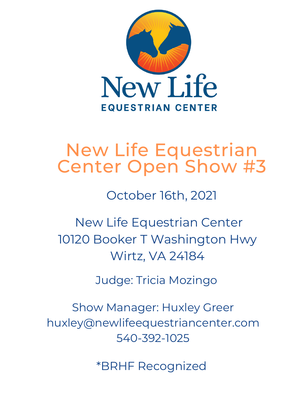

# **New Life Equestrian Center Open Show #3**

## October 16th, 2021

New Life Equestrian Center 10120 Booker T Washington Hwy **Wirtz, VA 24184** 

Judge: Tricia Mozingo

**Show Manager: Huxley Greer** huxley@newlifeequestriancenter.com 540-392-1025

\*BRHF Recognized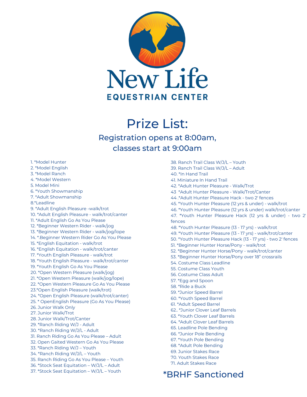

## **Prize List:**

Registration opens at 8:00am, classes start at 9:00am

- 1. \*Model Hunter 2. \*Model English 3. \*Model Ranch 4. \*Model Western 5. Model Mini 6. \*Youth Showmanship 7. \*Adult Showmanship 8.\*Leadline 9. \* Adult English Pleasure - walk/trot 10. \*Adult English Pleasure - walk/trot/canter 11. \*Adult English Go As You Please 12. \*Beginner Western Rider - walk/jog 13. \*Beginner Western Rider - walk/jog/lope 14. \*.Beginner Western Rider Go As You Please 15. \*English Equitation - walk/trot 16. \*English Equitation - walk/trot/canter 17. \*Youth English Pleasure - walk/trot 18. \*Youth English Pleasure - walk/trot/canter 19. \*Youth English Go As You Please 20. \*Open Western Pleasure (walk/jog) 21. \*Open Western Pleasure (walk/jog/lope) 22. \*Open Western Pleasure Go As You Please 23.\*Open English Pleasure (walk/trot) 24. \*Open English Pleasure (walk/trot/canter) 25. \* OpenEnglish Pleasure (Go As You Please) 26. Junior Walk Only 27. Junior Walk/Trot 28. Junior Walk/Trot/Canter 29. \*Ranch Riding W/J - Adult 30. \*Ranch Riding W/J/L - Adult 31. Ranch Riding Go As You Please - Adult 32. Open Gaited Western Go As You Please 33. \*Ranch Riding W/J - Youth 34. \*Ranch Riding W/J/L - Youth 35. Ranch Riding Go As You Please - Youth 36. \*Stock Seat Equitation - W/J/L - Adult 37. \*Stock Seat Equitation - W/J/L - Youth
- 38. Ranch Trail Class W/J/L Youth 39. Ranch Trail Class W/J/L - Adult 40. \*In Hand Trail 41. Miniature In Hand Trail 42. \*Adult Hunter Pleasure - Walk/Trot 43 \*Adult Hunter Pleasure - Walk/Trot/Canter 44 .\* Adult Hunter Pleasure Hack - two 2' fences 45. \*Youth Hunter Pleasure (12 yrs & under) - walk/trot 46. \*Youth Hunter Pleasure (12 yrs & under) walk/trot/canter 47. \*Youth Hunter Pleasure Hack (12 yrs & under) - two 2' fences 48. \*Youth Hunter Pleasure (13 - 17 yrs) - walk/trot 49. \*Youth Hunter Pleasure (13 - 17 yrs) - walk/trot/canter 50. \*Youth Hunter Pleasure Hack (13 - 17 yrs) - two 2' fences 51. \*Beginner Hunter Horse/Pony - walk/trot 52. \*Beginner Hunter Horse/Pony - walk/trot/canter 53. \*Beginner Hunter Horse/Pony over 18" crossrails 54. Costume Class Leadline 55. Costume Class Youth 56. Costume Class Adult 57. \*Egg and Spoon 58. \*Ride a Buck 59. \*Junior Speed Barrel 60. \*Youth Speed Barrel 61. \*Adult Speed Barrel 62.. \*Junior Clover Leaf Barrels 63. \*Youth Clover Leaf Barrels 64. \*Adult Clover Leaf Barrels 65. Leadline Pole Bending 66. \*Junior Pole Bending 67. \*Youth Pole Bending 68. \*Adult Pole Bending 69. Junior Stakes Race 70. Youth Stakes Race 71. Adult Stakes Race \*BRHF Sanctioned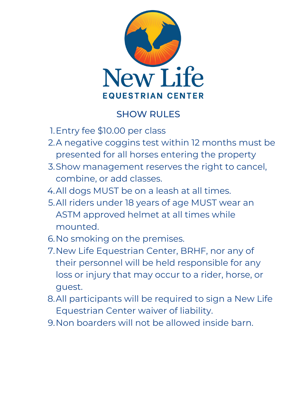

#### SHOW RULES

- 1. Entry fee \$10.00 per class
- 2.A negative coggins test within 12 months must be presented for all horses entering the property
- Show management reserves the right to cancel, 3. combine, or add classes.
- All dogs MUST be on a leash at all times. 4.
- All riders under 18 years of age MUST wear an 5. ASTM approved helmet at all times while mounted.
- 6. No smoking on the premises.
- 7. New Life Equestrian Center, BRHF, nor any of their personnel will be held responsible for any loss or injury that may occur to a rider, horse, or guest.
- All participants will be required to sign a New Life 8. Equestrian Center waiver of liability.
- 9. Non boarders will not be allowed inside barn.